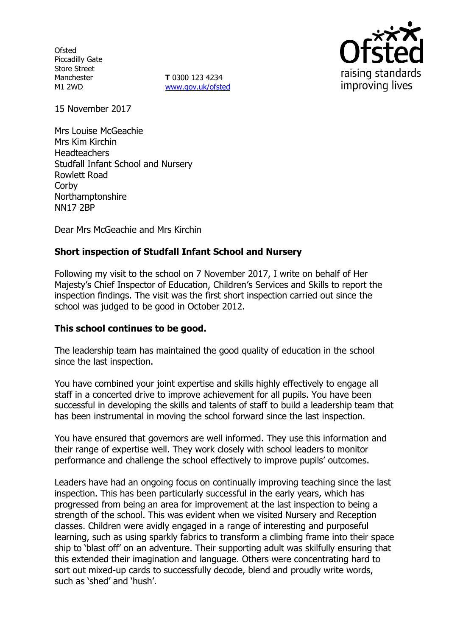**Ofsted** Piccadilly Gate Store Street Manchester M1 2WD

**T** 0300 123 4234 www.gov.uk/ofsted



15 November 2017

Mrs Louise McGeachie Mrs Kim Kirchin **Headteachers** Studfall Infant School and Nursery Rowlett Road **Corby** Northamptonshire NN17 2BP

Dear Mrs McGeachie and Mrs Kirchin

# **Short inspection of Studfall Infant School and Nursery**

Following my visit to the school on 7 November 2017, I write on behalf of Her Majesty's Chief Inspector of Education, Children's Services and Skills to report the inspection findings. The visit was the first short inspection carried out since the school was judged to be good in October 2012.

## **This school continues to be good.**

The leadership team has maintained the good quality of education in the school since the last inspection.

You have combined your joint expertise and skills highly effectively to engage all staff in a concerted drive to improve achievement for all pupils. You have been successful in developing the skills and talents of staff to build a leadership team that has been instrumental in moving the school forward since the last inspection.

You have ensured that governors are well informed. They use this information and their range of expertise well. They work closely with school leaders to monitor performance and challenge the school effectively to improve pupils' outcomes.

Leaders have had an ongoing focus on continually improving teaching since the last inspection. This has been particularly successful in the early years, which has progressed from being an area for improvement at the last inspection to being a strength of the school. This was evident when we visited Nursery and Reception classes. Children were avidly engaged in a range of interesting and purposeful learning, such as using sparkly fabrics to transform a climbing frame into their space ship to 'blast off' on an adventure. Their supporting adult was skilfully ensuring that this extended their imagination and language. Others were concentrating hard to sort out mixed-up cards to successfully decode, blend and proudly write words, such as 'shed' and 'hush'.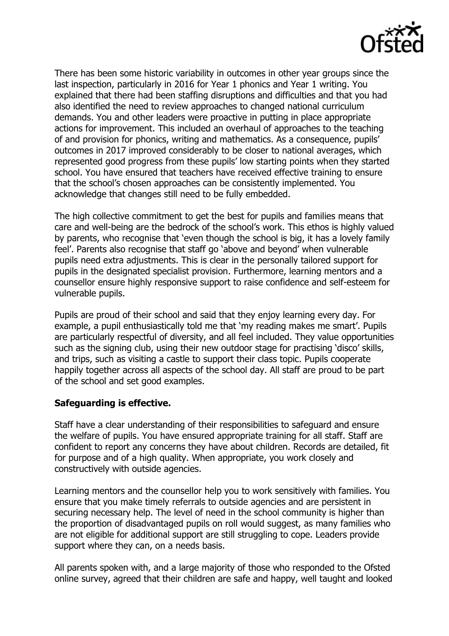

There has been some historic variability in outcomes in other year groups since the last inspection, particularly in 2016 for Year 1 phonics and Year 1 writing. You explained that there had been staffing disruptions and difficulties and that you had also identified the need to review approaches to changed national curriculum demands. You and other leaders were proactive in putting in place appropriate actions for improvement. This included an overhaul of approaches to the teaching of and provision for phonics, writing and mathematics. As a consequence, pupils' outcomes in 2017 improved considerably to be closer to national averages, which represented good progress from these pupils' low starting points when they started school. You have ensured that teachers have received effective training to ensure that the school's chosen approaches can be consistently implemented. You acknowledge that changes still need to be fully embedded.

The high collective commitment to get the best for pupils and families means that care and well-being are the bedrock of the school's work. This ethos is highly valued by parents, who recognise that 'even though the school is big, it has a lovely family feel'. Parents also recognise that staff go 'above and beyond' when vulnerable pupils need extra adjustments. This is clear in the personally tailored support for pupils in the designated specialist provision. Furthermore, learning mentors and a counsellor ensure highly responsive support to raise confidence and self-esteem for vulnerable pupils.

Pupils are proud of their school and said that they enjoy learning every day. For example, a pupil enthusiastically told me that 'my reading makes me smart'. Pupils are particularly respectful of diversity, and all feel included. They value opportunities such as the signing club, using their new outdoor stage for practising 'disco' skills, and trips, such as visiting a castle to support their class topic. Pupils cooperate happily together across all aspects of the school day. All staff are proud to be part of the school and set good examples.

## **Safeguarding is effective.**

Staff have a clear understanding of their responsibilities to safeguard and ensure the welfare of pupils. You have ensured appropriate training for all staff. Staff are confident to report any concerns they have about children. Records are detailed, fit for purpose and of a high quality. When appropriate, you work closely and constructively with outside agencies.

Learning mentors and the counsellor help you to work sensitively with families. You ensure that you make timely referrals to outside agencies and are persistent in securing necessary help. The level of need in the school community is higher than the proportion of disadvantaged pupils on roll would suggest, as many families who are not eligible for additional support are still struggling to cope. Leaders provide support where they can, on a needs basis.

All parents spoken with, and a large majority of those who responded to the Ofsted online survey, agreed that their children are safe and happy, well taught and looked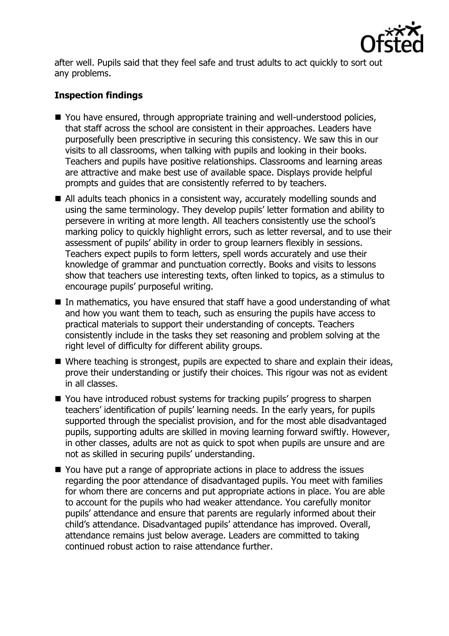

after well. Pupils said that they feel safe and trust adults to act quickly to sort out any problems.

# **Inspection findings**

- You have ensured, through appropriate training and well-understood policies, that staff across the school are consistent in their approaches. Leaders have purposefully been prescriptive in securing this consistency. We saw this in our visits to all classrooms, when talking with pupils and looking in their books. Teachers and pupils have positive relationships. Classrooms and learning areas are attractive and make best use of available space. Displays provide helpful prompts and guides that are consistently referred to by teachers.
- All adults teach phonics in a consistent way, accurately modelling sounds and using the same terminology. They develop pupils' letter formation and ability to persevere in writing at more length. All teachers consistently use the school's marking policy to quickly highlight errors, such as letter reversal, and to use their assessment of pupils' ability in order to group learners flexibly in sessions. Teachers expect pupils to form letters, spell words accurately and use their knowledge of grammar and punctuation correctly. Books and visits to lessons show that teachers use interesting texts, often linked to topics, as a stimulus to encourage pupils' purposeful writing.
- In mathematics, you have ensured that staff have a good understanding of what and how you want them to teach, such as ensuring the pupils have access to practical materials to support their understanding of concepts. Teachers consistently include in the tasks they set reasoning and problem solving at the right level of difficulty for different ability groups.
- Where teaching is strongest, pupils are expected to share and explain their ideas, prove their understanding or justify their choices. This rigour was not as evident in all classes.
- You have introduced robust systems for tracking pupils' progress to sharpen teachers' identification of pupils' learning needs. In the early years, for pupils supported through the specialist provision, and for the most able disadvantaged pupils, supporting adults are skilled in moving learning forward swiftly. However, in other classes, adults are not as quick to spot when pupils are unsure and are not as skilled in securing pupils' understanding.
- You have put a range of appropriate actions in place to address the issues regarding the poor attendance of disadvantaged pupils. You meet with families for whom there are concerns and put appropriate actions in place. You are able to account for the pupils who had weaker attendance. You carefully monitor pupils' attendance and ensure that parents are regularly informed about their child's attendance. Disadvantaged pupils' attendance has improved. Overall, attendance remains just below average. Leaders are committed to taking continued robust action to raise attendance further.